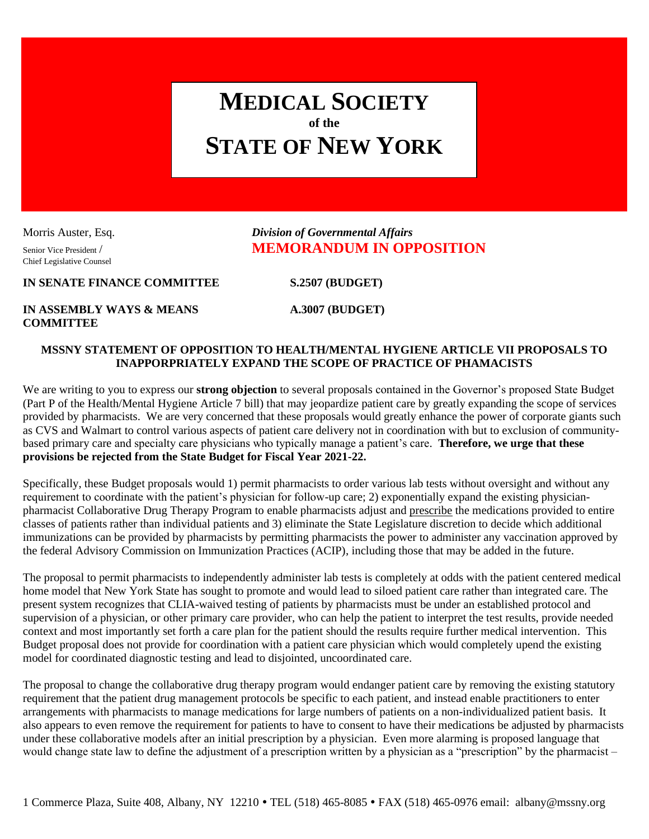## **MEDICAL SOCIETY of the STATE OF NEW YORK**

Chief Legislative Counsel

Morris Auster, Esq. *Division of Governmental Affairs* Senior Vice President / **MEMORANDUM IN OPPOSITION** 

**IN SENATE FINANCE COMMITTEE S.2507 (BUDGET)**

**IN ASSEMBLY WAYS & MEANS A.3007 (BUDGET) COMMITTEE**

## **MSSNY STATEMENT OF OPPOSITION TO HEALTH/MENTAL HYGIENE ARTICLE VII PROPOSALS TO INAPPORPRIATELY EXPAND THE SCOPE OF PRACTICE OF PHAMACISTS**

We are writing to you to express our **strong objection** to several proposals contained in the Governor's proposed State Budget (Part P of the Health/Mental Hygiene Article 7 bill) that may jeopardize patient care by greatly expanding the scope of services provided by pharmacists. We are very concerned that these proposals would greatly enhance the power of corporate giants such as CVS and Walmart to control various aspects of patient care delivery not in coordination with but to exclusion of communitybased primary care and specialty care physicians who typically manage a patient's care. **Therefore, we urge that these provisions be rejected from the State Budget for Fiscal Year 2021-22.**

Specifically, these Budget proposals would 1) permit pharmacists to order various lab tests without oversight and without any requirement to coordinate with the patient's physician for follow-up care; 2) exponentially expand the existing physicianpharmacist Collaborative Drug Therapy Program to enable pharmacists adjust and prescribe the medications provided to entire classes of patients rather than individual patients and 3) eliminate the State Legislature discretion to decide which additional immunizations can be provided by pharmacists by permitting pharmacists the power to administer any vaccination approved by the federal Advisory Commission on Immunization Practices (ACIP), including those that may be added in the future.

The proposal to permit pharmacists to independently administer lab tests is completely at odds with the patient centered medical home model that New York State has sought to promote and would lead to siloed patient care rather than integrated care. The present system recognizes that CLIA-waived testing of patients by pharmacists must be under an established protocol and supervision of a physician, or other primary care provider, who can help the patient to interpret the test results, provide needed context and most importantly set forth a care plan for the patient should the results require further medical intervention. This Budget proposal does not provide for coordination with a patient care physician which would completely upend the existing model for coordinated diagnostic testing and lead to disjointed, uncoordinated care.

The proposal to change the collaborative drug therapy program would endanger patient care by removing the existing statutory requirement that the patient drug management protocols be specific to each patient, and instead enable practitioners to enter arrangements with pharmacists to manage medications for large numbers of patients on a non-individualized patient basis. It also appears to even remove the requirement for patients to have to consent to have their medications be adjusted by pharmacists under these collaborative models after an initial prescription by a physician. Even more alarming is proposed language that would change state law to define the adjustment of a prescription written by a physician as a "prescription" by the pharmacist –